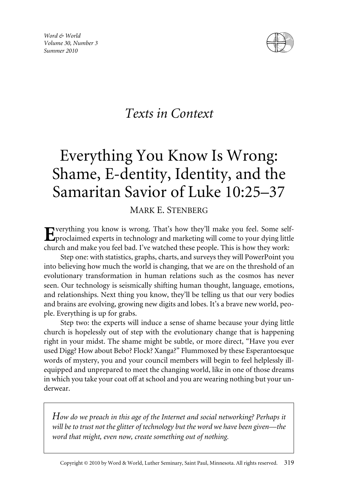*Word & World Volume 30, Number 3 Summer 2010*



# *Texts in Context*

# Everything You Know Is Wrong: Shame, E-dentity, Identity, and the Samaritan Savior of Luke 10:25–37

# MARK E. STENBERG

verything you know is wrong. That's how they'll make you feel. Some selfproclaimed experts in technology and marketing will come to your dying little church and make you feel bad. I've watched these people. This is how they work:

Step one: with statistics, graphs, charts, and surveys they will PowerPoint you into believing how much the world is changing, that we are on the threshold of an evolutionary transformation in human relations such as the cosmos has never seen. Our technology is seismically shifting human thought, language, emotions, and relationships. Next thing you know, they'll be telling us that our very bodies and brains are evolving, growing new digits and lobes. It's a brave new world, people. Everything is up for grabs.

Step two: the experts will induce a sense of shame because your dying little church is hopelessly out of step with the evolutionary change that is happening right in your midst. The shame might be subtle, or more direct, "Have you ever used Digg? How about Bebo? Flock? Xanga?" Flummoxed by these Esperantoesque words of mystery, you and your council members will begin to feel helplessly illequipped and unprepared to meet the changing world, like in one of those dreams in which you take your coat off at school and you are wearing nothing but your underwear.

*How do we preach in this age of the Internet and social networking? Perhaps it will be to trust not the glitter of technology but the word we have been given—the word that might, even now, create something out of nothing.*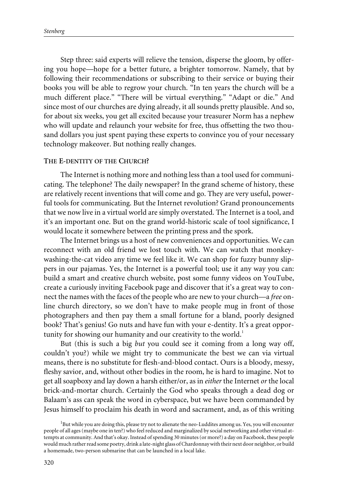Step three: said experts will relieve the tension, disperse the gloom, by offering you hope—hope for a better future, a brighter tomorrow. Namely, that by following their recommendations or subscribing to their service or buying their books you will be able to regrow your church. "In ten years the church will be a much different place." "There will be virtual everything." "Adapt or die." And since most of our churches are dying already, it all sounds pretty plausible. And so, for about six weeks, you get all excited because your treasurer Norm has a nephew who will update and relaunch your website for free, thus offsetting the two thousand dollars you just spent paying these experts to convince you of your necessary technology makeover. But nothing really changes.

#### **THE E-DENTITY OF THE CHURCH?**

The Internet is nothing more and nothing less than a tool used for communicating. The telephone? The daily newspaper? In the grand scheme of history, these are relatively recent inventions that will come and go. They are very useful, powerful tools for communicating. But the Internet revolution? Grand pronouncements that we now live in a virtual world are simply overstated. The Internet is a tool, and it's an important one. But on the grand world-historic scale of tool significance, I would locate it somewhere between the printing press and the spork.

The Internet brings us a host of new conveniences and opportunities. We can reconnect with an old friend we lost touch with. We can watch that monkeywashing-the-cat video any time we feel like it. We can shop for fuzzy bunny slippers in our pajamas. Yes, the Internet is a powerful tool; use it any way you can: build a smart and creative church website, post some funny videos on YouTube, create a curiously inviting Facebook page and discover that it's a great way to connect the names with the faces of the people who are new to your church—a *free* online church directory, so we don't have to make people mug in front of those photographers and then pay them a small fortune for a bland, poorly designed book? That's genius! Go nuts and have fun with your e-dentity. It's a great opportunity for showing our humanity and our creativity to the world.<sup>1</sup>

But (this is such a big *but* you could see it coming from a long way off, couldn't you?) while we might try to communicate the best we can via virtual means, there is no substitute for flesh-and-blood contact. Ours is a bloody, messy, fleshy savior, and, without other bodies in the room, he is hard to imagine. Not to get all soapboxy and lay down a harsh either/or, as in *either* the Internet *or* the local brick-and-mortar church. Certainly the God who speaks through a dead dog or Balaam's ass can speak the word in cyberspace, but we have been commanded by Jesus himself to proclaim his death in word and sacrament, and, as of this writing

<sup>&</sup>lt;sup>1</sup>But while you are doing this, please try not to alienate the neo-Luddites among us. Yes, you will encounter people of all ages (maybe one in ten?) who feel reduced and marginalized by social networking and other virtual attempts at community. And that's okay. Instead of spending 30 minutes (or more?) a day on Facebook, these people would much rather read some poetry, drink a late-night glass of Chardonnay with their next door neighbor, or build a homemade, two-person submarine that can be launched in a local lake.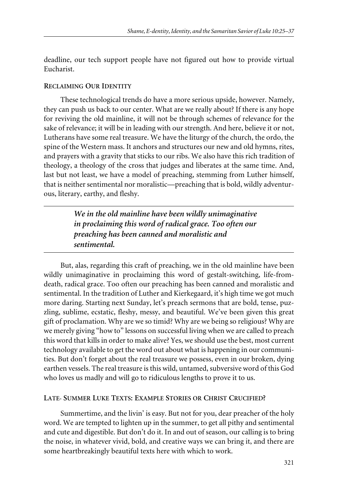deadline, our tech support people have not figured out how to provide virtual Eucharist.

### **RECLAIMING OUR IDENTITY**

These technological trends do have a more serious upside, however. Namely, they can push us back to our center. What are we really about? If there is any hope for reviving the old mainline, it will not be through schemes of relevance for the sake of relevance; it will be in leading with our strength. And here, believe it or not, Lutherans have some real treasure. We have the liturgy of the church, the ordo, the spine of the Western mass. It anchors and structures our new and old hymns, rites, and prayers with a gravity that sticks to our ribs. We also have this rich tradition of theology, a theology of the cross that judges and liberates at the same time. And, last but not least, we have a model of preaching, stemming from Luther himself, that is neither sentimental nor moralistic—preaching that is bold, wildly adventurous, literary, earthy, and fleshy.

> *We in the old mainline have been wildly unimaginative in proclaiming this word of radical grace. Too often our preaching has been canned and moralistic and sentimental.*

But, alas, regarding this craft of preaching, we in the old mainline have been wildly unimaginative in proclaiming this word of gestalt-switching, life-fromdeath, radical grace. Too often our preaching has been canned and moralistic and sentimental. In the tradition of Luther and Kierkegaard, it's high time we got much more daring. Starting next Sunday, let's preach sermons that are bold, tense, puzzling, sublime, ecstatic, fleshy, messy, and beautiful. We've been given this great gift of proclamation. Why are we so timid? Why are we being so religious? Why are we merely giving "how to" lessons on successful living when we are called to preach this word that kills in order to make alive? Yes, we should use the best, most current technology available to get the word out about what is happening in our communities. But don't forget about the real treasure we possess, even in our broken, dying earthen vessels. The real treasure is this wild, untamed, subversive word of this God who loves us madly and will go to ridiculous lengths to prove it to us.

## **LATE- SUMMER LUKE TEXTS: EXAMPLE STORIES OR CHRIST CRUCIFIED?**

Summertime, and the livin' is easy. But not for you, dear preacher of the holy word. We are tempted to lighten up in the summer, to get all pithy and sentimental and cute and digestible. But don't do it. In and out of season, our calling is to bring the noise, in whatever vivid, bold, and creative ways we can bring it, and there are some heartbreakingly beautiful texts here with which to work.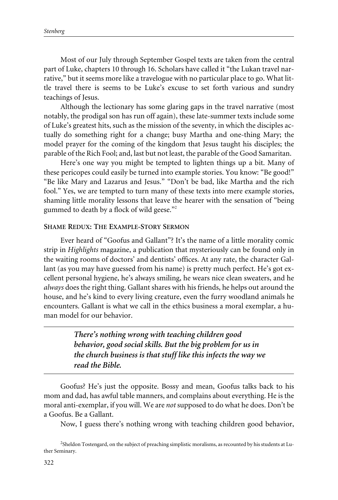Most of our July through September Gospel texts are taken from the central part of Luke, chapters 10 through 16. Scholars have called it "the Lukan travel narrative," but it seems more like a travelogue with no particular place to go. What little travel there is seems to be Luke's excuse to set forth various and sundry teachings of Jesus.

Although the lectionary has some glaring gaps in the travel narrative (most notably, the prodigal son has run off again), these late-summer texts include some of Luke's greatest hits, such as the mission of the seventy, in which the disciples actually do something right for a change; busy Martha and one-thing Mary; the model prayer for the coming of the kingdom that Jesus taught his disciples; the parable of the Rich Fool; and, last but not least, the parable of the Good Samaritan.

Here's one way you might be tempted to lighten things up a bit. Many of these pericopes could easily be turned into example stories. You know: "Be good!" "Be like Mary and Lazarus and Jesus." "Don't be bad, like Martha and the rich fool." Yes, we are tempted to turn many of these texts into mere example stories, shaming little morality lessons that leave the hearer with the sensation of "being gummed to death by a flock of wild geese."<sup>2</sup>

#### **SHAME REDUX: THE EXAMPLE-STORY SERMON**

Ever heard of "Goofus and Gallant"? It's the name of a little morality comic strip in *Highlights* magazine, a publication that mysteriously can be found only in the waiting rooms of doctors' and dentists' offices. At any rate, the character Gallant (as you may have guessed from his name) is pretty much perfect. He's got excellent personal hygiene, he's always smiling, he wears nice clean sweaters, and he *always* does the right thing. Gallant shares with his friends, he helps out around the house, and he's kind to every living creature, even the furry woodland animals he encounters. Gallant is what we call in the ethics business a moral exemplar, a human model for our behavior.

> *There's nothing wrong with teaching children good behavior, good social skills. But the big problem for us in the church business is that stuff like this infects the way we read the Bible.*

Goofus? He's just the opposite. Bossy and mean, Goofus talks back to his mom and dad, has awful table manners, and complains about everything. He is the moral anti-exemplar, if you will. We are *not* supposed to do what he does. Don't be a Goofus. Be a Gallant.

Now, I guess there's nothing wrong with teaching children good behavior,

<sup>&</sup>lt;sup>2</sup>Sheldon Tostengard, on the subject of preaching simplistic moralisms, as recounted by his students at Luther Seminary.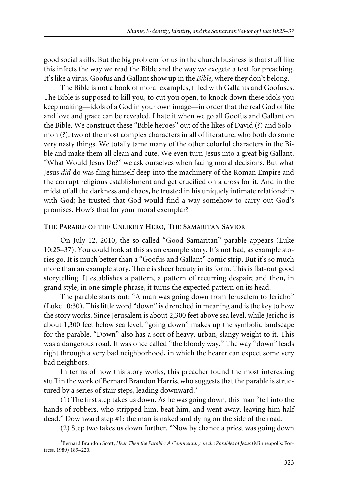good social skills. But the big problem for us in the church business is that stuff like this infects the way we read the Bible and the way we exegete a text for preaching. It's like a virus. Goofus and Gallant show up in the *Bible,* where they don't belong.

The Bible is not a book of moral examples, filled with Gallants and Goofuses. The Bible is supposed to kill you, to cut you open, to knock down these idols you keep making—idols of a God in your own image—in order that the real God of life and love and grace can be revealed. I hate it when we go all Goofus and Gallant on the Bible. We construct these "Bible heroes" out of the likes of David (?) and Solomon (?), two of the most complex characters in all of literature, who both do some very nasty things. We totally tame many of the other colorful characters in the Bible and make them all clean and cute. We even turn Jesus into a great big Gallant. "What Would Jesus Do?" we ask ourselves when facing moral decisions. But what Jesus *did* do was fling himself deep into the machinery of the Roman Empire and the corrupt religious establishment and get crucified on a cross for it. And in the midst of all the darkness and chaos, he trusted in his uniquely intimate relationship with God; he trusted that God would find a way somehow to carry out God's promises. How's that for your moral exemplar?

#### **THE PARABLE OF THE UNLIKELY HERO, THE SAMARITAN SAVIOR**

On July 12, 2010, the so-called "Good Samaritan" parable appears (Luke 10:25–37). You could look at this as an example story. It's not bad, as example stories go. It is much better than a "Goofus and Gallant" comic strip. But it's so much more than an example story. There is sheer beauty in its form. This is flat-out good storytelling. It establishes a pattern, a pattern of recurring despair; and then, in grand style, in one simple phrase, it turns the expected pattern on its head.

The parable starts out: "A man was going down from Jerusalem to Jericho" (Luke 10:30). This little word "down" is drenched in meaning and is the key to how the story works. Since Jerusalem is about 2,300 feet above sea level, while Jericho is about 1,300 feet below sea level, "going down" makes up the symbolic landscape for the parable. "Down" also has a sort of heavy, urban, slangy weight to it. This was a dangerous road. It was once called "the bloody way." The way "down" leads right through a very bad neighborhood, in which the hearer can expect some very bad neighbors.

In terms of how this story works, this preacher found the most interesting stuff in the work of Bernard Brandon Harris, who suggests that the parable is structured by a series of stair steps, leading downward.<sup>3</sup>

(1) The first step takes us down. As he was going down, this man "fell into the hands of robbers, who stripped him, beat him, and went away, leaving him half dead." Downward step #1: the man is naked and dying on the side of the road.

(2) Step two takes us down further. "Now by chance a priest was going down

<sup>3</sup> Bernard Brandon Scott, *Hear Then the Parable: A Commentary on the Parables of Jesus* (Minneapolis: Fortress, 1989) 189–220.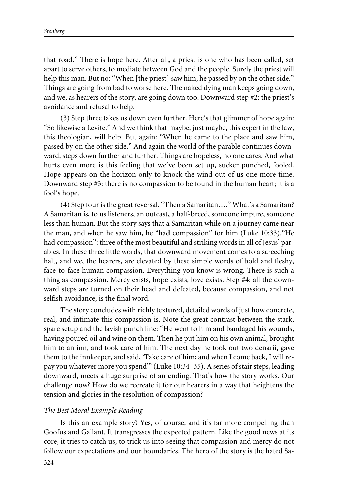that road." There is hope here. After all, a priest is one who has been called, set apart to serve others, to mediate between God and the people. Surely the priest will help this man. But no: "When [the priest] saw him, he passed by on the other side." Things are going from bad to worse here. The naked dying man keeps going down, and we, as hearers of the story, are going down too. Downward step #2: the priest's avoidance and refusal to help.

(3) Step three takes us down even further. Here's that glimmer of hope again: "So likewise a Levite." And we think that maybe, just maybe, this expert in the law, this theologian, will help. But again: "When he came to the place and saw him, passed by on the other side." And again the world of the parable continues downward, steps down further and further. Things are hopeless, no one cares. And what hurts even more is this feeling that we've been set up, sucker punched, fooled. Hope appears on the horizon only to knock the wind out of us one more time. Downward step #3: there is no compassion to be found in the human heart; it is a fool's hope.

(4) Step four is the great reversal. "Then a Samaritan…." What's a Samaritan? A Samaritan is, to us listeners, an outcast, a half-breed, someone impure, someone less than human. But the story says that a Samaritan while on a journey came near the man, and when he saw him, he "had compassion" for him (Luke 10:33)."He had compassion": three of the most beautiful and striking words in all of Jesus' parables. In these three little words, that downward movement comes to a screeching halt, and we, the hearers, are elevated by these simple words of bold and fleshy, face-to-face human compassion. Everything you know is wrong. There is such a thing as compassion. Mercy exists, hope exists, love exists. Step #4: all the downward steps are turned on their head and defeated, because compassion, and not selfish avoidance, is the final word.

The story concludes with richly textured, detailed words of just how concrete, real, and intimate this compassion is. Note the great contrast between the stark, spare setup and the lavish punch line: "He went to him and bandaged his wounds, having poured oil and wine on them. Then he put him on his own animal, brought him to an inn, and took care of him. The next day he took out two denarii, gave them to the innkeeper, and said, 'Take care of him; and when I come back, I will repay you whatever more you spend'" (Luke 10:34–35). A series of stair steps, leading downward, meets a huge surprise of an ending. That's how the story works. Our challenge now? How do we recreate it for our hearers in a way that heightens the tension and glories in the resolution of compassion?

#### *The Best Moral Example Reading*

Is this an example story? Yes, of course, and it's far more compelling than Goofus and Gallant. It transgresses the expected pattern. Like the good news at its core, it tries to catch us, to trick us into seeing that compassion and mercy do not follow our expectations and our boundaries. The hero of the story is the hated Sa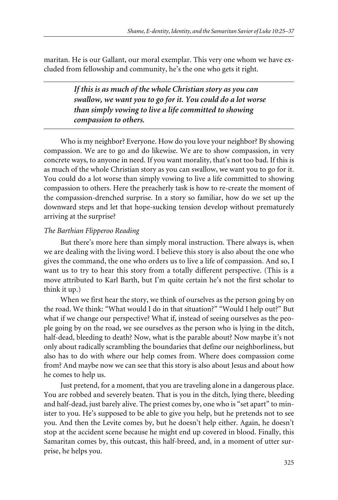maritan. He is our Gallant, our moral exemplar. This very one whom we have excluded from fellowship and community, he's the one who gets it right.

> *If this is as much of the whole Christian story as you can swallow, we want you to go for it. You could do a lot worse than simply vowing to live a life committed to showing compassion to others.*

Who is my neighbor? Everyone. How do you love your neighbor? By showing compassion. We are to go and do likewise. We are to show compassion, in very concrete ways, to anyone in need. If you want morality, that's not too bad. If this is as much of the whole Christian story as you can swallow, we want you to go for it. You could do a lot worse than simply vowing to live a life committed to showing compassion to others. Here the preacherly task is how to re-create the moment of the compassion-drenched surprise. In a story so familiar, how do we set up the downward steps and let that hope-sucking tension develop without prematurely arriving at the surprise?

#### *The Barthian Flipperoo Reading*

But there's more here than simply moral instruction. There always is, when we are dealing with the living word. I believe this story is also about the one who gives the command, the one who orders us to live a life of compassion. And so, I want us to try to hear this story from a totally different perspective. (This is a move attributed to Karl Barth, but I'm quite certain he's not the first scholar to think it up.)

When we first hear the story, we think of ourselves as the person going by on the road. We think: "What would I do in that situation?" "Would I help out?" But what if we change our perspective? What if, instead of seeing ourselves as the people going by on the road, we see ourselves as the person who is lying in the ditch, half-dead, bleeding to death? Now, what is the parable about? Now maybe it's not only about radically scrambling the boundaries that define our neighborliness, but also has to do with where our help comes from. Where does compassion come from? And maybe now we can see that this story is also about Jesus and about how he comes to help us.

Just pretend, for a moment, that you are traveling alone in a dangerous place. You are robbed and severely beaten. That is you in the ditch, lying there, bleeding and half-dead, just barely alive. The priest comes by, one who is "set apart" to minister to you. He's supposed to be able to give you help, but he pretends not to see you. And then the Levite comes by, but he doesn't help either. Again, he doesn't stop at the accident scene because he might end up covered in blood. Finally, this Samaritan comes by, this outcast, this half-breed, and, in a moment of utter surprise, he helps you.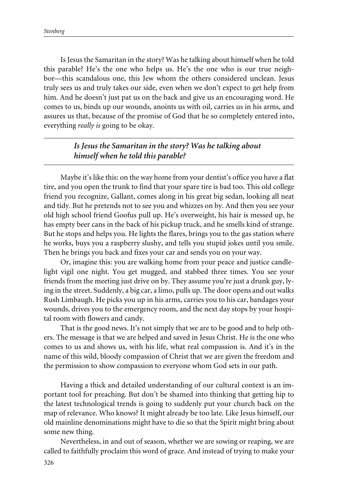Is Jesus the Samaritan in the story? Was he talking about himself when he told this parable? He's the one who helps us. He's the one who is our true neighbor—this scandalous one, this Jew whom the others considered unclean. Jesus truly sees us and truly takes our side, even when we don't expect to get help from him. And he doesn't just pat us on the back and give us an encouraging word. He comes to us, binds up our wounds, anoints us with oil, carries us in his arms, and assures us that, because of the promise of God that he so completely entered into, everything *really is* going to be okay.

# *Is Jesus the Samaritan in the story? Was he talking about himself when he told this parable?*

Maybe it's like this: on the way home from your dentist's office you have a flat tire, and you open the trunk to find that your spare tire is bad too. This old college friend you recognize, Gallant, comes along in his great big sedan, looking all neat and tidy. But he pretends not to see you and whizzes on by. And then you see your old high school friend Goofus pull up. He's overweight, his hair is messed up, he has empty beer cans in the back of his pickup truck, and he smells kind of strange. But he stops and helps you. He lights the flares, brings you to the gas station where he works, buys you a raspberry slushy, and tells you stupid jokes until you smile. Then he brings you back and fixes your car and sends you on your way.

Or, imagine this: you are walking home from your peace and justice candlelight vigil one night. You get mugged, and stabbed three times. You see your friends from the meeting just drive on by. They assume you're just a drunk guy, lying in the street. Suddenly, a big car, a limo, pulls up. The door opens and out walks Rush Limbaugh. He picks you up in his arms, carries you to his car, bandages your wounds, drives you to the emergency room, and the next day stops by your hospital room with flowers and candy.

That is the good news. It's not simply that we are to be good and to help others. The message is that we are helped and saved in Jesus Christ. He is the one who comes to us and shows us, with his life, what real compassion is. And it's in the name of this wild, bloody compassion of Christ that we are given the freedom and the permission to show compassion to everyone whom God sets in our path.

Having a thick and detailed understanding of our cultural context is an important tool for preaching. But don't be shamed into thinking that getting hip to the latest technological trends is going to suddenly put your church back on the map of relevance. Who knows? It might already be too late. Like Jesus himself, our old mainline denominations might have to die so that the Spirit might bring about some new thing.

Nevertheless, in and out of season, whether we are sowing or reaping, we are called to faithfully proclaim this word of grace. And instead of trying to make your